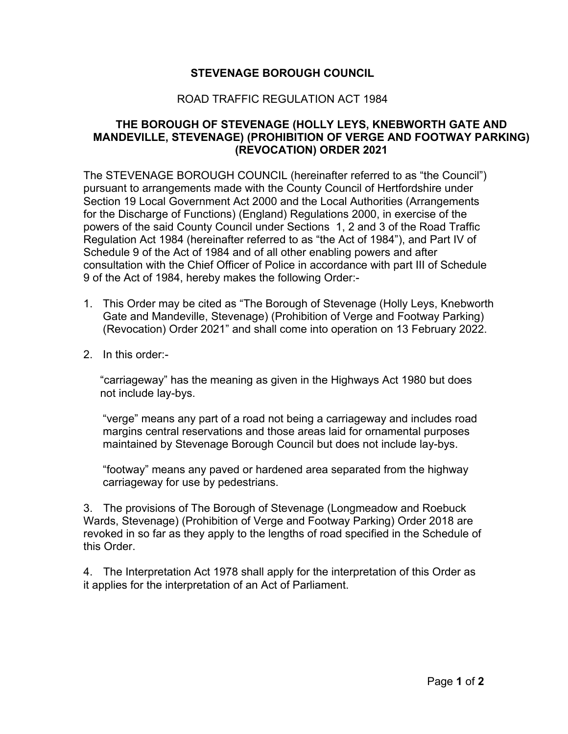## **STEVENAGE BOROUGH COUNCIL**

## ROAD TRAFFIC REGULATION ACT 1984

## **THE BOROUGH OF STEVENAGE (HOLLY LEYS, KNEBWORTH GATE AND MANDEVILLE, STEVENAGE) (PROHIBITION OF VERGE AND FOOTWAY PARKING) (REVOCATION) ORDER 2021**

The STEVENAGE BOROUGH COUNCIL (hereinafter referred to as "the Council") pursuant to arrangements made with the County Council of Hertfordshire under Section 19 Local Government Act 2000 and the Local Authorities (Arrangements for the Discharge of Functions) (England) Regulations 2000, in exercise of the powers of the said County Council under Sections 1, 2 and 3 of the Road Traffic Regulation Act 1984 (hereinafter referred to as "the Act of 1984"), and Part IV of Schedule 9 of the Act of 1984 and of all other enabling powers and after consultation with the Chief Officer of Police in accordance with part III of Schedule 9 of the Act of 1984, hereby makes the following Order:-

- 1. This Order may be cited as "The Borough of Stevenage (Holly Leys, Knebworth Gate and Mandeville, Stevenage) (Prohibition of Verge and Footway Parking) (Revocation) Order 2021" and shall come into operation on 13 February 2022.
- 2. In this order:-

"carriageway" has the meaning as given in the Highways Act 1980 but does not include lay-bys.

"verge" means any part of a road not being a carriageway and includes road margins central reservations and those areas laid for ornamental purposes maintained by Stevenage Borough Council but does not include lay-bys.

"footway" means any paved or hardened area separated from the highway carriageway for use by pedestrians.

3. The provisions of The Borough of Stevenage (Longmeadow and Roebuck Wards, Stevenage) (Prohibition of Verge and Footway Parking) Order 2018 are revoked in so far as they apply to the lengths of road specified in the Schedule of this Order.

4. The Interpretation Act 1978 shall apply for the interpretation of this Order as it applies for the interpretation of an Act of Parliament.